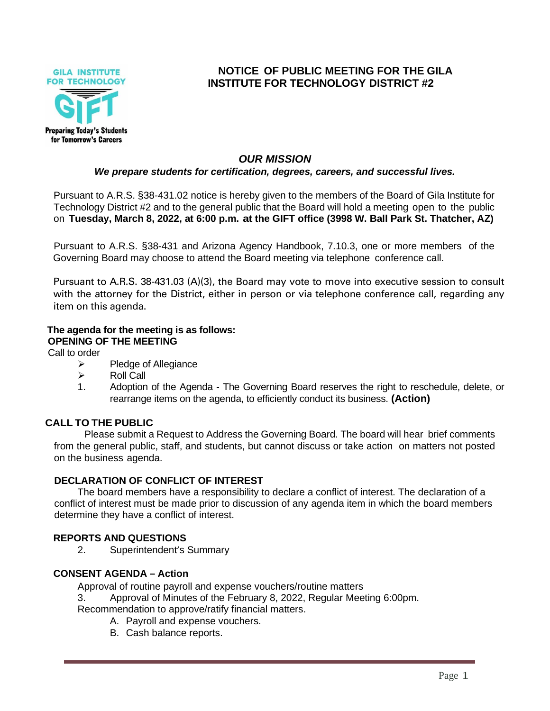

# **NOTICE OF PUBLIC MEETING FOR THE GILA INSTITUTE FOR TECHNOLOGY DISTRICT #2**

# *OUR MISSION*

## *We prepare students for certification, degrees, careers, and successful lives.*

Pursuant to A.R.S. §38-431.02 notice is hereby given to the members of the Board of Gila Institute for Technology District #2 and to the general public that the Board will hold a meeting open to the public on **Tuesday, March 8, 2022, at 6:00 p.m. at the GIFT office (3998 W. Ball Park St. Thatcher, AZ)**

Pursuant to A.R.S. §38-431 and Arizona Agency Handbook, 7.10.3, one or more members of the Governing Board may choose to attend the Board meeting via telephone conference call.

Pursuant to A.R.S. 38-431.03 (A)(3), the Board may vote to move into executive session to consult with the attorney for the District, either in person or via telephone conference call, regarding any item on this agenda.

#### **The agenda for the meeting is as follows: OPENING OF THE MEETING**

Call to order

- ➢ Pledge of Allegiance
- ➢ Roll Call
- 1. Adoption of the Agenda The Governing Board reserves the right to reschedule, delete, or rearrange items on the agenda, to efficiently conduct its business. **(Action)**

# **CALL TO THE PUBLIC**

Please submit a Request to Address the Governing Board. The board will hear brief comments from the general public, staff, and students, but cannot discuss or take action on matters not posted on the business agenda.

### **DECLARATION OF CONFLICT OF INTEREST**

The board members have a responsibility to declare a conflict of interest. The declaration of a conflict of interest must be made prior to discussion of any agenda item in which the board members determine they have a conflict of interest.

# **REPORTS AND QUESTIONS**

2. Superintendent's Summary

### **CONSENT AGENDA – Action**

Approval of routine payroll and expense vouchers/routine matters

3. Approval of Minutes of the February 8, 2022, Regular Meeting 6:00pm.

Recommendation to approve/ratify financial matters.

- A. Payroll and expense vouchers.
- B. Cash balance reports.